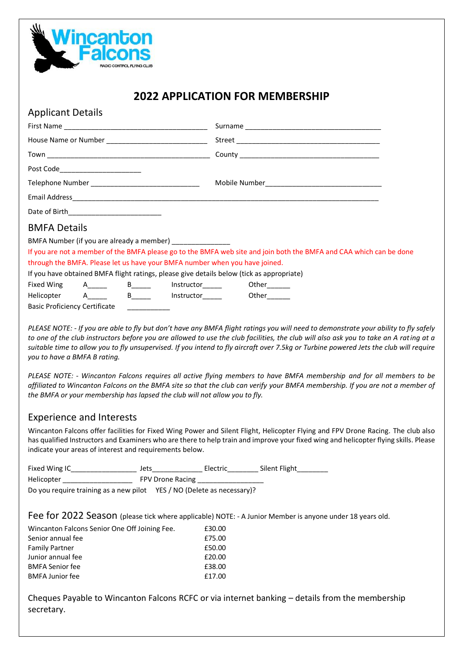

## **2022 APPLICATION FOR MEMBERSHIP**

| <b>Applicant Details</b>                           |  |                           |                                                                             |                                                                                                                     |  |  |
|----------------------------------------------------|--|---------------------------|-----------------------------------------------------------------------------|---------------------------------------------------------------------------------------------------------------------|--|--|
|                                                    |  |                           |                                                                             |                                                                                                                     |  |  |
|                                                    |  |                           |                                                                             |                                                                                                                     |  |  |
|                                                    |  |                           |                                                                             |                                                                                                                     |  |  |
| Post Code__________________________                |  |                           |                                                                             |                                                                                                                     |  |  |
| Telephone Number _________________________________ |  |                           |                                                                             |                                                                                                                     |  |  |
|                                                    |  |                           |                                                                             |                                                                                                                     |  |  |
|                                                    |  |                           |                                                                             |                                                                                                                     |  |  |
| <b>BMFA Details</b>                                |  |                           |                                                                             |                                                                                                                     |  |  |
|                                                    |  |                           | BMFA Number (if you are already a member) ________________                  |                                                                                                                     |  |  |
|                                                    |  |                           |                                                                             | If you are not a member of the BMFA please go to the BMFA web site and join both the BMFA and CAA which can be done |  |  |
|                                                    |  |                           | through the BMFA. Please let us have your BMFA number when you have joined. |                                                                                                                     |  |  |
|                                                    |  |                           |                                                                             | If you have obtained BMFA flight ratings, please give details below (tick as appropriate)                           |  |  |
|                                                    |  |                           |                                                                             | Fixed Wing A_____ B_____ Instructor_____ Other_____                                                                 |  |  |
|                                                    |  | Helicopter A______ B_____ |                                                                             | Instructor_______    Other_______                                                                                   |  |  |
| <b>Basic Proficiency Certificate</b>               |  |                           |                                                                             |                                                                                                                     |  |  |

*PLEASE NOTE: - If you are able to fly but don't have any BMFA flight ratings you will need to demonstrate your ability to fly safely to one of the club instructors before you are allowed to use the club facilities, the club will also ask you to take an A rating at a suitable time to allow you to fly unsupervised. If you intend to fly aircraft over 7.5kg or Turbine powered Jets the club will require* 

*PLEASE NOTE: - Wincanton Falcons requires all active flying members to have BMFA membership and for all members to be affiliated to Wincanton Falcons on the BMFA site so that the club can verify your BMFA membership. If you are not a member of the BMFA or your membership has lapsed the club will not allow you to fly.*

## Experience and Interests

*you to have a BMFA B rating.*

Wincanton Falcons offer facilities for Fixed Wing Power and Silent Flight, Helicopter Flying and FPV Drone Racing. The club also has qualified Instructors and Examiners who are there to help train and improve your fixed wing and helicopter flying skills. Please indicate your areas of interest and requirements below.

| Fixed Wing IC                                                          | Jets |                         | Electric | Silent Flight |
|------------------------------------------------------------------------|------|-------------------------|----------|---------------|
| Helicopter                                                             |      | <b>FPV Drone Racing</b> |          |               |
| Do you require training as a new pilot YES / NO (Delete as necessary)? |      |                         |          |               |

Fee for 2022 Season (please tick where applicable) NOTE: - A Junior Member is anyone under 18 years old.

| Wincanton Falcons Senior One Off Joining Fee. | £30.00 |
|-----------------------------------------------|--------|
|                                               |        |
| Senior annual fee                             | £75.00 |
| <b>Family Partner</b>                         | £50.00 |
| Junior annual fee                             | £20.00 |
| <b>BMFA Senior fee</b>                        | £38.00 |
| <b>BMFA Junior fee</b>                        | £17.00 |

Cheques Payable to Wincanton Falcons RCFC or via internet banking – details from the membership secretary.